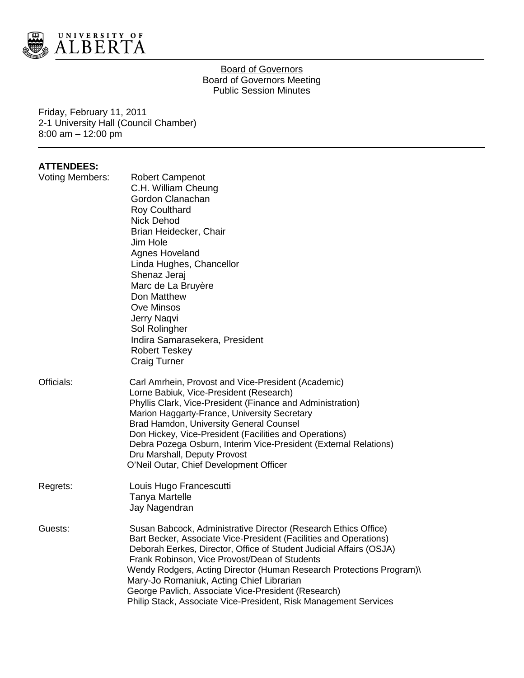

## Board of Governors Board of Governors Meeting Public Session Minutes

Friday, February 11, 2011 2-1 University Hall (Council Chamber) 8:00 am – 12:00 pm

# **ATTENDEES:**

| Voting Members: | <b>Robert Campenot</b><br>C.H. William Cheung<br>Gordon Clanachan<br><b>Roy Coulthard</b><br><b>Nick Dehod</b><br>Brian Heidecker, Chair<br>Jim Hole<br><b>Agnes Hoveland</b><br>Linda Hughes, Chancellor<br>Shenaz Jeraj<br>Marc de La Bruyère<br>Don Matthew<br><b>Ove Minsos</b><br>Jerry Naqvi<br>Sol Rolingher<br>Indira Samarasekera, President<br><b>Robert Teskey</b>                                                                                                                               |
|-----------------|-------------------------------------------------------------------------------------------------------------------------------------------------------------------------------------------------------------------------------------------------------------------------------------------------------------------------------------------------------------------------------------------------------------------------------------------------------------------------------------------------------------|
| Officials:      | <b>Craig Turner</b><br>Carl Amrhein, Provost and Vice-President (Academic)<br>Lorne Babiuk, Vice-President (Research)<br>Phyllis Clark, Vice-President (Finance and Administration)<br>Marion Haggarty-France, University Secretary<br>Brad Hamdon, University General Counsel<br>Don Hickey, Vice-President (Facilities and Operations)<br>Debra Pozega Osburn, Interim Vice-President (External Relations)<br>Dru Marshall, Deputy Provost<br>O'Neil Outar, Chief Development Officer                     |
| Regrets:        | Louis Hugo Francescutti<br><b>Tanya Martelle</b><br>Jay Nagendran                                                                                                                                                                                                                                                                                                                                                                                                                                           |
| Guests:         | Susan Babcock, Administrative Director (Research Ethics Office)<br>Bart Becker, Associate Vice-President (Facilities and Operations)<br>Deborah Eerkes, Director, Office of Student Judicial Affairs (OSJA)<br>Frank Robinson, Vice Provost/Dean of Students<br>Wendy Rodgers, Acting Director (Human Research Protections Program)\<br>Mary-Jo Romaniuk, Acting Chief Librarian<br>George Pavlich, Associate Vice-President (Research)<br>Philip Stack, Associate Vice-President, Risk Management Services |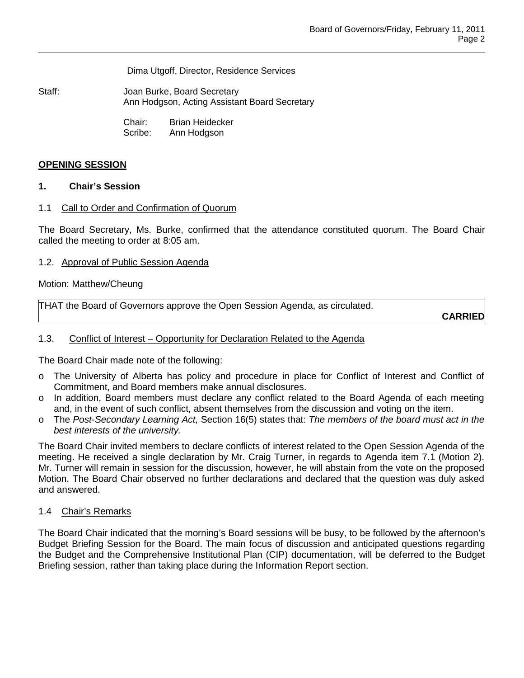Dima Utgoff, Director, Residence Services

Staff: **Joan Burke, Board Secretary** Ann Hodgson, Acting Assistant Board Secretary

> Chair: Brian Heidecker Scribe: Ann Hodgson

# **OPENING SESSION**

# **1. Chair's Session**

# 1.1 Call to Order and Confirmation of Quorum

The Board Secretary, Ms. Burke, confirmed that the attendance constituted quorum. The Board Chair called the meeting to order at 8:05 am.

### 1.2. Approval of Public Session Agenda

### Motion: Matthew/Cheung

|  | THAT the Board of Governors approve the Open Session Agenda, as circulated. |  |
|--|-----------------------------------------------------------------------------|--|
|--|-----------------------------------------------------------------------------|--|

**CARRIED**

### 1.3. Conflict of Interest - Opportunity for Declaration Related to the Agenda

The Board Chair made note of the following:

- o The University of Alberta has policy and procedure in place for Conflict of Interest and Conflict of Commitment, and Board members make annual disclosures.
- o In addition, Board members must declare any conflict related to the Board Agenda of each meeting and, in the event of such conflict, absent themselves from the discussion and voting on the item.
- o The *Post-Secondary Learning Act,* Section 16(5) states that: *The members of the board must act in the best interests of the university.*

The Board Chair invited members to declare conflicts of interest related to the Open Session Agenda of the meeting. He received a single declaration by Mr. Craig Turner, in regards to Agenda item 7.1 (Motion 2). Mr. Turner will remain in session for the discussion, however, he will abstain from the vote on the proposed Motion. The Board Chair observed no further declarations and declared that the question was duly asked and answered.

### 1.4 Chair's Remarks

The Board Chair indicated that the morning's Board sessions will be busy, to be followed by the afternoon's Budget Briefing Session for the Board. The main focus of discussion and anticipated questions regarding the Budget and the Comprehensive Institutional Plan (CIP) documentation, will be deferred to the Budget Briefing session, rather than taking place during the Information Report section.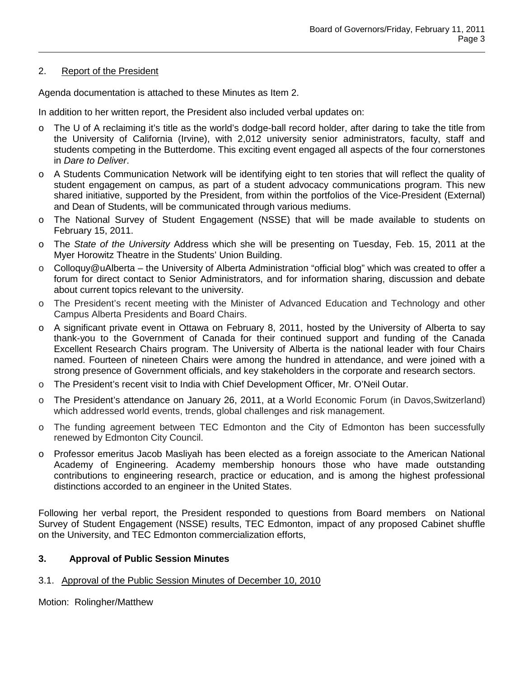# 2. Report of the President

Agenda documentation is attached to these Minutes as Item 2.

In addition to her written report, the President also included verbal updates on:

- o The U of A reclaiming it's title as the world's dodge-ball record holder, after daring to take the title from the University of California (Irvine), with 2,012 university senior administrators, faculty, staff and students competing in the Butterdome. This exciting event engaged all aspects of the four cornerstones in *Dare to Deliver*.
- o A Students Communication Network will be identifying eight to ten stories that will reflect the quality of student engagement on campus, as part of a student advocacy communications program. This new shared initiative, supported by the President, from within the portfolios of the Vice-President (External) and Dean of Students, will be communicated through various mediums.
- o The National Survey of Student Engagement (NSSE) that will be made available to students on February 15, 2011.
- o The *State of the University* Address which she will be presenting on Tuesday, Feb. 15, 2011 at the Myer Horowitz Theatre in the Students' Union Building.
- o Colloquy@uAlberta the University of Alberta Administration "official blog" which was created to offer a forum for direct contact to Senior Administrators, and for information sharing, discussion and debate about current topics relevant to the university.
- o The President's recent meeting with the Minister of Advanced Education and Technology and other Campus Alberta Presidents and Board Chairs.
- o A significant private event in Ottawa on February 8, 2011, hosted by the University of Alberta to say thank-you to the Government of Canada for their continued support and funding of the Canada Excellent Research Chairs program. The University of Alberta is the national leader with four Chairs named. Fourteen of nineteen Chairs were among the hundred in attendance, and were joined with a strong presence of Government officials, and key stakeholders in the corporate and research sectors.
- o The President's recent visit to India with Chief Development Officer, Mr. O'Neil Outar.
- o The President's attendance on January 26, 2011, at a World Economic Forum (in Davos,Switzerland) which addressed world events, trends, global challenges and risk management.
- o The funding agreement between TEC Edmonton and the City of Edmonton has been successfully renewed by Edmonton City Council.
- o Professor emeritus Jacob Masliyah has been elected as a foreign associate to the American National Academy of Engineering. Academy membership honours those who have made outstanding contributions to engineering research, practice or education, and is among the highest professional distinctions accorded to an engineer in the United States.

Following her verbal report, the President responded to questions from Board members on National Survey of Student Engagement (NSSE) results, TEC Edmonton, impact of any proposed Cabinet shuffle on the University, and TEC Edmonton commercialization efforts,

# **3. Approval of Public Session Minutes**

# 3.1. Approval of the Public Session Minutes of December 10, 2010

Motion: Rolingher/Matthew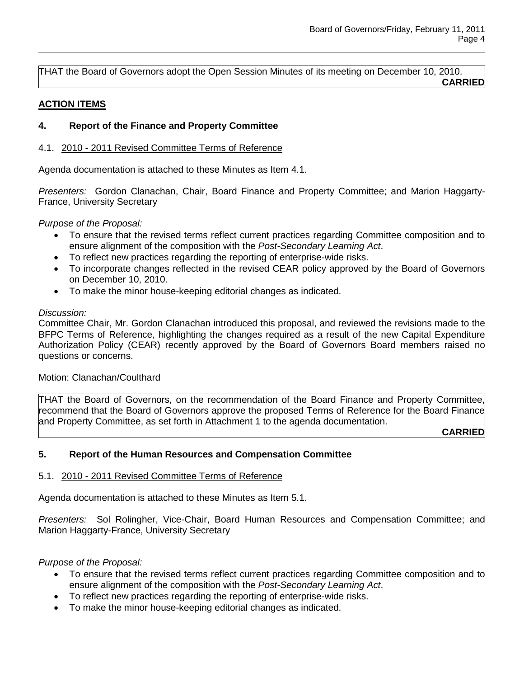THAT the Board of Governors adopt the Open Session Minutes of its meeting on December 10, 2010. **CARRIED**

### **ACTION ITEMS**

# **4. Report of the Finance and Property Committee**

### 4.1. 2010 - 2011 Revised Committee Terms of Reference

Agenda documentation is attached to these Minutes as Item 4.1.

*Presenters:* Gordon Clanachan, Chair, Board Finance and Property Committee; and Marion Haggarty-France, University Secretary

*Purpose of the Proposal:* 

- To ensure that the revised terms reflect current practices regarding Committee composition and to ensure alignment of the composition with the *Post-Secondary Learning Act*.
- To reflect new practices regarding the reporting of enterprise-wide risks.
- To incorporate changes reflected in the revised CEAR policy approved by the Board of Governors on December 10, 2010.
- To make the minor house-keeping editorial changes as indicated.

# *Discussion:*

Committee Chair, Mr. Gordon Clanachan introduced this proposal, and reviewed the revisions made to the BFPC Terms of Reference, highlighting the changes required as a result of the new Capital Expenditure Authorization Policy (CEAR) recently approved by the Board of Governors Board members raised no questions or concerns.

### Motion: Clanachan/Coulthard

THAT the Board of Governors, on the recommendation of the Board Finance and Property Committee, recommend that the Board of Governors approve the proposed Terms of Reference for the Board Finance and Property Committee, as set forth in Attachment 1 to the agenda documentation.

**CARRIED**

# **5. Report of the Human Resources and Compensation Committee**

### 5.1. 2010 - 2011 Revised Committee Terms of Reference

Agenda documentation is attached to these Minutes as Item 5.1.

*Presenters:* Sol Rolingher, Vice-Chair, Board Human Resources and Compensation Committee; and Marion Haggarty-France, University Secretary

### *Purpose of the Proposal:*

- To ensure that the revised terms reflect current practices regarding Committee composition and to ensure alignment of the composition with the *Post-Secondary Learning Act*.
- To reflect new practices regarding the reporting of enterprise-wide risks.
- To make the minor house-keeping editorial changes as indicated.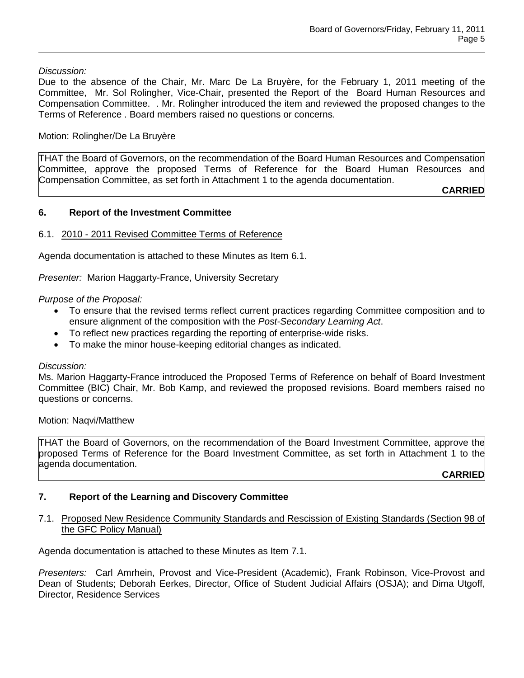# *Discussion:*

Due to the absence of the Chair, Mr. Marc De La Bruyère, for the February 1, 2011 meeting of the Committee, Mr. Sol Rolingher, Vice-Chair, presented the Report of the Board Human Resources and Compensation Committee. . Mr. Rolingher introduced the item and reviewed the proposed changes to the Terms of Reference . Board members raised no questions or concerns.

# Motion: Rolingher/De La Bruyère

THAT the Board of Governors, on the recommendation of the Board Human Resources and Compensation Committee, approve the proposed Terms of Reference for the Board Human Resources and Compensation Committee, as set forth in Attachment 1 to the agenda documentation.

**CARRIED**

# **6. Report of the Investment Committee**

# 6.1. 2010 - 2011 Revised Committee Terms of Reference

Agenda documentation is attached to these Minutes as Item 6.1.

*Presenter:* Marion Haggarty-France, University Secretary

# *Purpose of the Proposal:*

- To ensure that the revised terms reflect current practices regarding Committee composition and to ensure alignment of the composition with the *Post-Secondary Learning Act*.
- To reflect new practices regarding the reporting of enterprise-wide risks.
- To make the minor house-keeping editorial changes as indicated.

### *Discussion:*

Ms. Marion Haggarty-France introduced the Proposed Terms of Reference on behalf of Board Investment Committee (BIC) Chair, Mr. Bob Kamp, and reviewed the proposed revisions. Board members raised no questions or concerns.

Motion: Naqvi/Matthew

THAT the Board of Governors, on the recommendation of the Board Investment Committee, approve the proposed Terms of Reference for the Board Investment Committee, as set forth in Attachment 1 to the agenda documentation.

**CARRIED**

# **7. Report of the Learning and Discovery Committee**

# 7.1. Proposed New Residence Community Standards and Rescission of Existing Standards (Section 98 of the GFC Policy Manual)

Agenda documentation is attached to these Minutes as Item 7.1.

*Presenters:* Carl Amrhein, Provost and Vice-President (Academic), Frank Robinson, Vice-Provost and Dean of Students; Deborah Eerkes, Director, Office of Student Judicial Affairs (OSJA); and Dima Utgoff, Director, Residence Services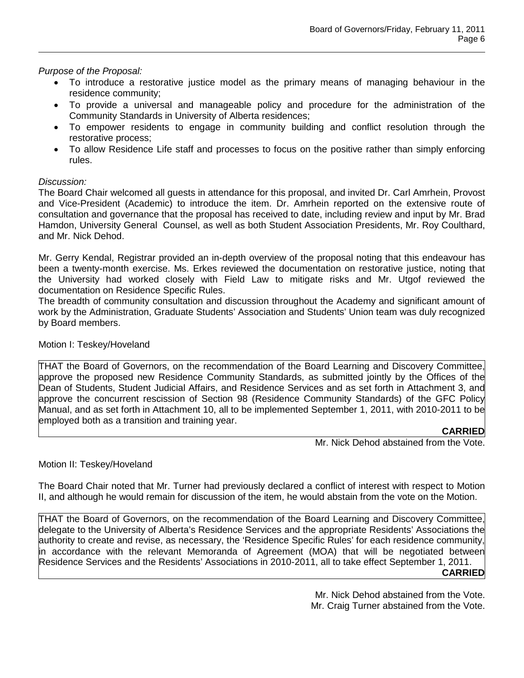*Purpose of the Proposal:* 

- To introduce a restorative justice model as the primary means of managing behaviour in the residence community;
- To provide a universal and manageable policy and procedure for the administration of the Community Standards in University of Alberta residences;
- To empower residents to engage in community building and conflict resolution through the restorative process;
- To allow Residence Life staff and processes to focus on the positive rather than simply enforcing rules.

# *Discussion:*

The Board Chair welcomed all guests in attendance for this proposal, and invited Dr. Carl Amrhein, Provost and Vice-President (Academic) to introduce the item. Dr. Amrhein reported on the extensive route of consultation and governance that the proposal has received to date, including review and input by Mr. Brad Hamdon, University General Counsel, as well as both Student Association Presidents, Mr. Roy Coulthard, and Mr. Nick Dehod.

Mr. Gerry Kendal, Registrar provided an in-depth overview of the proposal noting that this endeavour has been a twenty-month exercise. Ms. Erkes reviewed the documentation on restorative justice, noting that the University had worked closely with Field Law to mitigate risks and Mr. Utgof reviewed the documentation on Residence Specific Rules.

The breadth of community consultation and discussion throughout the Academy and significant amount of work by the Administration, Graduate Students' Association and Students' Union team was duly recognized by Board members.

### Motion I: Teskey/Hoveland

THAT the Board of Governors, on the recommendation of the Board Learning and Discovery Committee, approve the proposed new Residence Community Standards, as submitted jointly by the Offices of the Dean of Students, Student Judicial Affairs, and Residence Services and as set forth in Attachment 3, and approve the concurrent rescission of Section 98 (Residence Community Standards) of the GFC Policy Manual, and as set forth in Attachment 10, all to be implemented September 1, 2011, with 2010-2011 to be employed both as a transition and training year.

# **CARRIED**

Mr. Nick Dehod abstained from the Vote.

# Motion II: Teskey/Hoveland

The Board Chair noted that Mr. Turner had previously declared a conflict of interest with respect to Motion II, and although he would remain for discussion of the item, he would abstain from the vote on the Motion.

THAT the Board of Governors, on the recommendation of the Board Learning and Discovery Committee, delegate to the University of Alberta's Residence Services and the appropriate Residents' Associations the authority to create and revise, as necessary, the 'Residence Specific Rules' for each residence community, in accordance with the relevant Memoranda of Agreement (MOA) that will be negotiated between Residence Services and the Residents' Associations in 2010-2011, all to take effect September 1, 2011. **CARRIED**

> Mr. Nick Dehod abstained from the Vote. Mr. Craig Turner abstained from the Vote.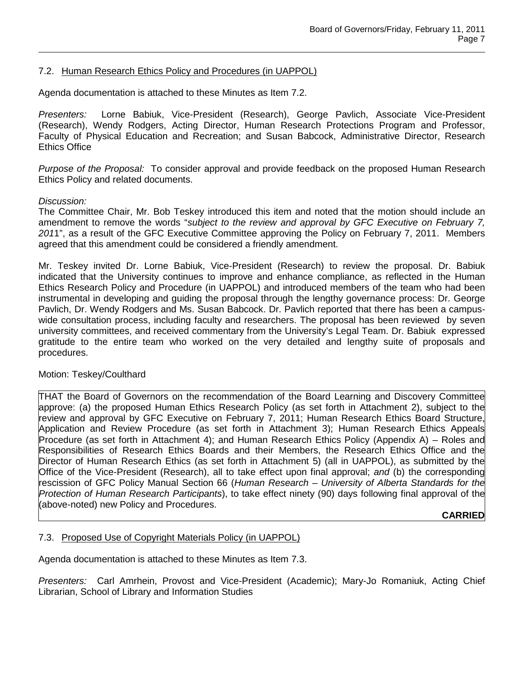## 7.2. Human Research Ethics Policy and Procedures (in UAPPOL)

Agenda documentation is attached to these Minutes as Item 7.2.

*Presenters:* Lorne Babiuk, Vice-President (Research), George Pavlich, Associate Vice-President (Research), Wendy Rodgers, Acting Director, Human Research Protections Program and Professor, Faculty of Physical Education and Recreation; and Susan Babcock, Administrative Director, Research Ethics Office

*Purpose of the Proposal:* To consider approval and provide feedback on the proposed Human Research Ethics Policy and related documents.

#### *Discussion:*

The Committee Chair, Mr. Bob Teskey introduced this item and noted that the motion should include an amendment to remove the words "*subject to the review and approval by GFC Executive on February 7, 201*1", as a result of the GFC Executive Committee approving the Policy on February 7, 2011. Members agreed that this amendment could be considered a friendly amendment.

Mr. Teskey invited Dr. Lorne Babiuk, Vice-President (Research) to review the proposal. Dr. Babiuk indicated that the University continues to improve and enhance compliance, as reflected in the Human Ethics Research Policy and Procedure (in UAPPOL) and introduced members of the team who had been instrumental in developing and guiding the proposal through the lengthy governance process: Dr. George Pavlich, Dr. Wendy Rodgers and Ms. Susan Babcock. Dr. Pavlich reported that there has been a campuswide consultation process, including faculty and researchers. The proposal has been reviewed by seven university committees, and received commentary from the University's Legal Team. Dr. Babiuk expressed gratitude to the entire team who worked on the very detailed and lengthy suite of proposals and procedures.

#### Motion: Teskey/Coulthard

THAT the Board of Governors on the recommendation of the Board Learning and Discovery Committee approve: (a) the proposed Human Ethics Research Policy (as set forth in Attachment 2), subject to the review and approval by GFC Executive on February 7, 2011; Human Research Ethics Board Structure, Application and Review Procedure (as set forth in Attachment 3); Human Research Ethics Appeals Procedure (as set forth in Attachment 4); and Human Research Ethics Policy (Appendix A) – Roles and Responsibilities of Research Ethics Boards and their Members, the Research Ethics Office and the Director of Human Research Ethics (as set forth in Attachment 5) (all in UAPPOL), as submitted by the Office of the Vice-President (Research), all to take effect upon final approval; *and* (b) the corresponding rescission of GFC Policy Manual Section 66 (*Human Research – University of Alberta Standards for the Protection of Human Research Participants*), to take effect ninety (90) days following final approval of the (above-noted) new Policy and Procedures.

**CARRIED**

### 7.3. Proposed Use of Copyright Materials Policy (in UAPPOL)

Agenda documentation is attached to these Minutes as Item 7.3.

*Presenters:* Carl Amrhein, Provost and Vice-President (Academic); Mary-Jo Romaniuk, Acting Chief Librarian, School of Library and Information Studies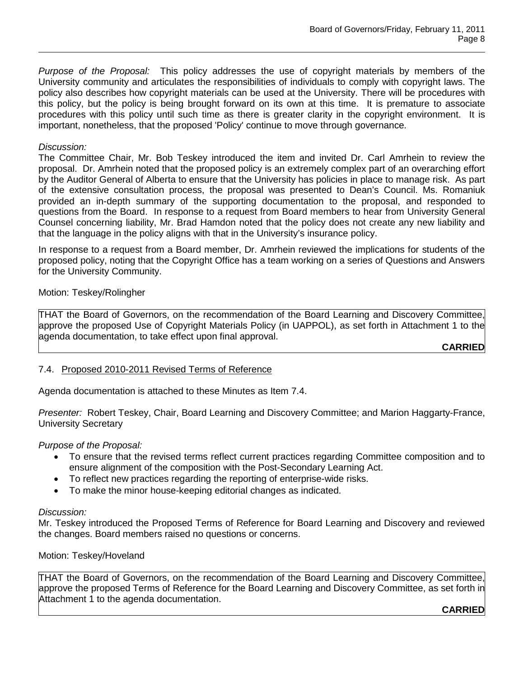*Purpose of the Proposal:* This policy addresses the use of copyright materials by members of the University community and articulates the responsibilities of individuals to comply with copyright laws. The policy also describes how copyright materials can be used at the University. There will be procedures with this policy, but the policy is being brought forward on its own at this time. It is premature to associate procedures with this policy until such time as there is greater clarity in the copyright environment. It is important, nonetheless, that the proposed 'Policy' continue to move through governance*.*

# *Discussion:*

The Committee Chair, Mr. Bob Teskey introduced the item and invited Dr. Carl Amrhein to review the proposal. Dr. Amrhein noted that the proposed policy is an extremely complex part of an overarching effort by the Auditor General of Alberta to ensure that the University has policies in place to manage risk. As part of the extensive consultation process, the proposal was presented to Dean's Council. Ms. Romaniuk provided an in-depth summary of the supporting documentation to the proposal, and responded to questions from the Board. In response to a request from Board members to hear from University General Counsel concerning liability, Mr. Brad Hamdon noted that the policy does not create any new liability and that the language in the policy aligns with that in the University's insurance policy.

In response to a request from a Board member, Dr. Amrhein reviewed the implications for students of the proposed policy, noting that the Copyright Office has a team working on a series of Questions and Answers for the University Community.

Motion: Teskey/Rolingher

THAT the Board of Governors, on the recommendation of the Board Learning and Discovery Committee, approve the proposed Use of Copyright Materials Policy (in UAPPOL), as set forth in Attachment 1 to the agenda documentation, to take effect upon final approval.

**CARRIED**

# 7.4. Proposed 2010-2011 Revised Terms of Reference

Agenda documentation is attached to these Minutes as Item 7.4.

*Presenter:* Robert Teskey, Chair, Board Learning and Discovery Committee; and Marion Haggarty-France, University Secretary

*Purpose of the Proposal:* 

- To ensure that the revised terms reflect current practices regarding Committee composition and to ensure alignment of the composition with the Post-Secondary Learning Act.
- To reflect new practices regarding the reporting of enterprise-wide risks.
- To make the minor house-keeping editorial changes as indicated.

### *Discussion:*

Mr. Teskey introduced the Proposed Terms of Reference for Board Learning and Discovery and reviewed the changes. Board members raised no questions or concerns.

Motion: Teskey/Hoveland

THAT the Board of Governors, on the recommendation of the Board Learning and Discovery Committee, approve the proposed Terms of Reference for the Board Learning and Discovery Committee, as set forth in Attachment 1 to the agenda documentation.

**CARRIED**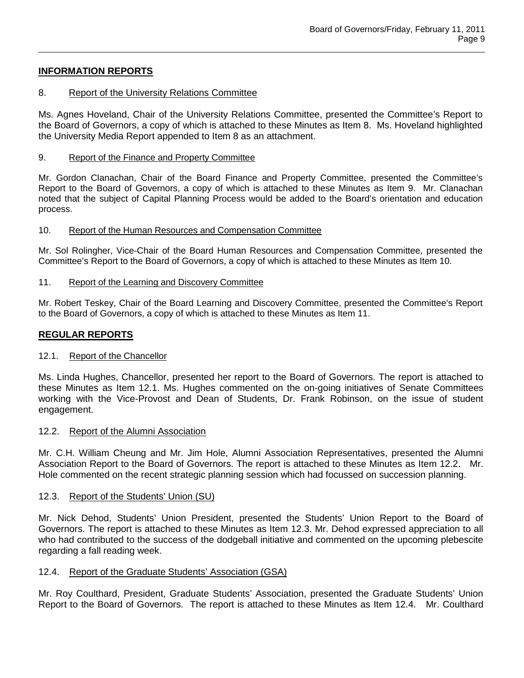# **INFORMATION REPORTS**

### 8. Report of the University Relations Committee

Ms. Agnes Hoveland, Chair of the University Relations Committee, presented the Committee's Report to the Board of Governors, a copy of which is attached to these Minutes as Item 8. Ms. Hoveland highlighted the University Media Report appended to Item 8 as an attachment.

### 9. Report of the Finance and Property Committee

Mr. Gordon Clanachan, Chair of the Board Finance and Property Committee, presented the Committee's Report to the Board of Governors, a copy of which is attached to these Minutes as Item 9. Mr. Clanachan noted that the subject of Capital Planning Process would be added to the Board's orientation and education process.

### 10. Report of the Human Resources and Compensation Committee

Mr. Sol Rolingher, Vice-Chair of the Board Human Resources and Compensation Committee, presented the Committee's Report to the Board of Governors, a copy of which is attached to these Minutes as Item 10.

# 11. Report of the Learning and Discovery Committee

Mr. Robert Teskey, Chair of the Board Learning and Discovery Committee, presented the Committee's Report to the Board of Governors, a copy of which is attached to these Minutes as Item 11.

# **REGULAR REPORTS**

### 12.1. Report of the Chancellor

Ms. Linda Hughes, Chancellor, presented her report to the Board of Governors. The report is attached to these Minutes as Item 12.1. Ms. Hughes commented on the on-going initiatives of Senate Committees working with the Vice-Provost and Dean of Students, Dr. Frank Robinson, on the issue of student engagement.

### 12.2. Report of the Alumni Association

Mr. C.H. William Cheung and Mr. Jim Hole, Alumni Association Representatives, presented the Alumni Association Report to the Board of Governors. The report is attached to these Minutes as Item 12.2. Mr. Hole commented on the recent strategic planning session which had focussed on succession planning.

### 12.3. Report of the Students' Union (SU)

Mr. Nick Dehod, Students' Union President, presented the Students' Union Report to the Board of Governors. The report is attached to these Minutes as Item 12.3. Mr. Dehod expressed appreciation to all who had contributed to the success of the dodgeball initiative and commented on the upcoming plebescite regarding a fall reading week.

# 12.4. Report of the Graduate Students' Association (GSA)

Mr. Roy Coulthard, President, Graduate Students' Association, presented the Graduate Students' Union Report to the Board of Governors. The report is attached to these Minutes as Item 12.4. Mr. Coulthard